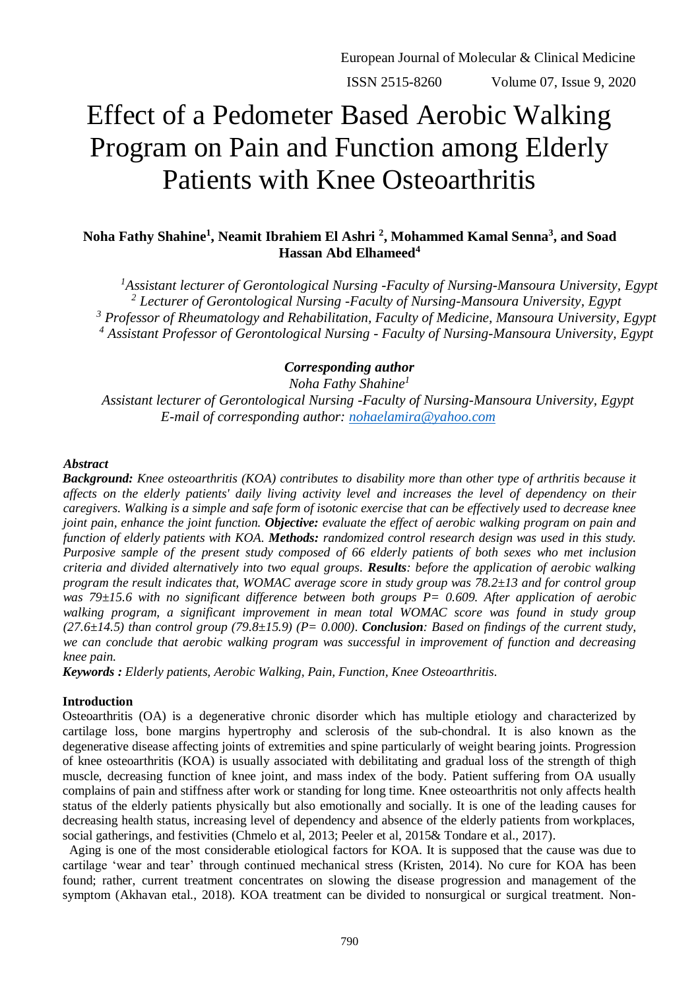# Effect of a Pedometer Based Aerobic Walking Program on Pain and Function among Elderly Patients with Knee Osteoarthritis

# **Noha Fathy Shahine<sup>1</sup> , Neamit Ibrahiem El Ashri <sup>2</sup> , Mohammed Kamal Senna<sup>3</sup> , and Soad Hassan Abd Elhameed<sup>4</sup>**

*Assistant lecturer of Gerontological Nursing -Faculty of Nursing-Mansoura University, Egypt Lecturer of Gerontological Nursing -Faculty of Nursing-Mansoura University, Egypt Professor of Rheumatology and Rehabilitation, Faculty of Medicine, Mansoura University, Egypt Assistant Professor of Gerontological Nursing - Faculty of Nursing-Mansoura University, Egypt*

# *Corresponding author*

*Noha Fathy Shahine<sup>1</sup>*

*Assistant lecturer of Gerontological Nursing -Faculty of Nursing-Mansoura University, Egypt E-mail of corresponding author: [nohaelamira@yahoo.com](mailto:nohaelamira@yahoo.com)*

#### *Abstract*

*Background: Knee osteoarthritis (KOA) contributes to disability more than other type of arthritis because it affects on the elderly patients' daily living activity level and increases the level of dependency on their caregivers. Walking is a simple and safe form of isotonic exercise that can be effectively used to decrease knee joint pain, enhance the joint function. Objective: evaluate the effect of aerobic walking program on pain and function of elderly patients with KOA. Methods: randomized control research design was used in this study. Purposive sample of the present study composed of 66 elderly patients of both sexes who met inclusion criteria and divided alternatively into two equal groups. Results: before the application of aerobic walking program the result indicates that, WOMAC average score in study group was 78.2±13 and for control group was 79±15.6 with no significant difference between both groups P= 0.609. After application of aerobic walking program, a significant improvement in mean total WOMAC score was found in study group*   $(27.6\pm14.5)$  than control group  $(79.8\pm15.9)$   $(P= 0.000)$ . **Conclusion**: Based on findings of the current study, *we can conclude that aerobic walking program was successful in improvement of function and decreasing knee pain.* 

*Keywords : Elderly patients, Aerobic Walking, Pain, Function, Knee Osteoarthritis.*

# **Introduction**

Osteoarthritis (OA) is a degenerative chronic disorder which has multiple etiology and characterized by cartilage loss, bone margins hypertrophy and sclerosis of the sub-chondral. It is also known as the degenerative disease affecting joints of extremities and spine particularly of weight bearing joints. Progression of knee osteoarthritis (KOA) is usually associated with debilitating and gradual loss of the strength of thigh muscle, decreasing function of knee joint, and mass index of the body. Patient suffering from OA usually complains of pain and stiffness after work or standing for long time. Knee osteoarthritis not only affects health status of the elderly patients physically but also emotionally and socially. It is one of the leading causes for decreasing health status, increasing level of dependency and absence of the elderly patients from workplaces, social gatherings, and festivities (Chmelo et al, 2013; Peeler et al, 2015& Tondare et al., 2017).

Aging is one of the most considerable etiological factors for KOA. It is supposed that the cause was due to cartilage 'wear and tear' through continued mechanical stress (Kristen, 2014). No cure for KOA has been found; rather, current treatment concentrates on slowing the disease progression and management of the symptom (Akhavan etal., 2018). KOA treatment can be divided to nonsurgical or surgical treatment. Non-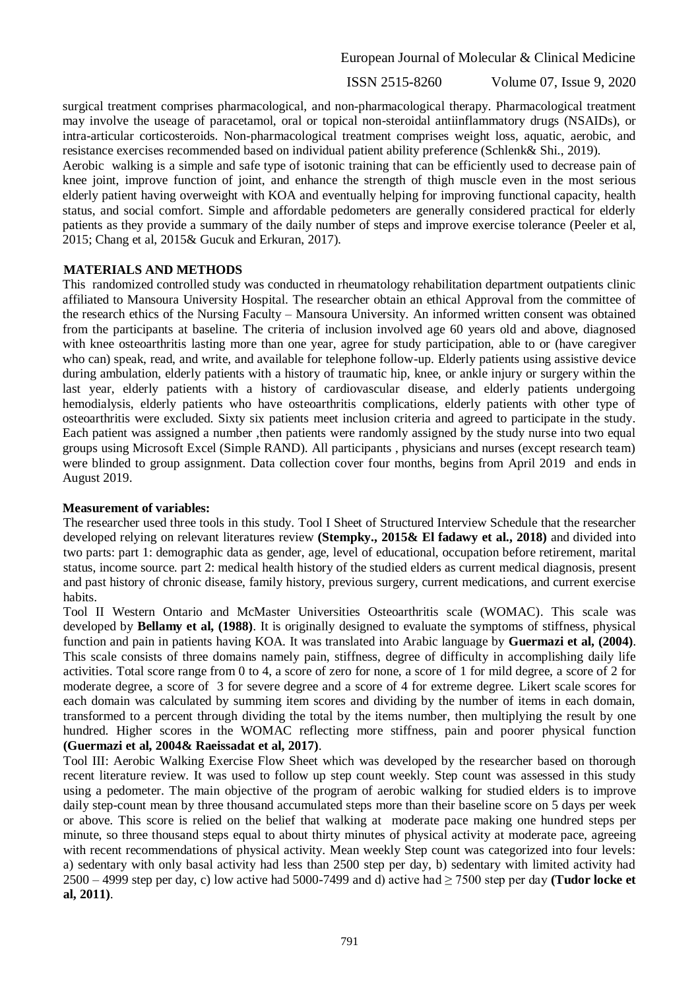ISSN 2515-8260 Volume 07, Issue 9, 2020

surgical treatment comprises pharmacological, and non-pharmacological therapy. Pharmacological treatment may involve the useage of paracetamol, oral or topical non-steroidal antiinflammatory drugs (NSAIDs), or intra-articular corticosteroids. Non-pharmacological treatment comprises weight loss, aquatic, aerobic, and resistance exercises recommended based on individual patient ability preference (Schlenk& Shi., 2019).

Aerobic walking is a simple and safe type of isotonic training that can be efficiently used to decrease pain of knee joint, improve function of joint, and enhance the strength of thigh muscle even in the most serious elderly patient having overweight with KOA and eventually helping for improving functional capacity, health status, and social comfort. Simple and affordable pedometers are generally considered practical for elderly patients as they provide a summary of the daily number of steps and improve exercise tolerance (Peeler et al, 2015; Chang et al, 2015& Gucuk and Erkuran, 2017).

#### **MATERIALS AND METHODS**

This randomized controlled study was conducted in rheumatology rehabilitation department outpatients clinic affiliated to Mansoura University Hospital. The researcher obtain an ethical Approval from the committee of the research ethics of the Nursing Faculty – Mansoura University. An informed written consent was obtained from the participants at baseline. The criteria of inclusion involved age 60 years old and above, diagnosed with knee osteoarthritis lasting more than one year, agree for study participation, able to or (have caregiver who can) speak, read, and write, and available for telephone follow-up. Elderly patients using assistive device during ambulation, elderly patients with a history of traumatic hip, knee, or ankle injury or surgery within the last year, elderly patients with a history of cardiovascular disease, and elderly patients undergoing hemodialysis, elderly patients who have osteoarthritis complications, elderly patients with other type of osteoarthritis were excluded. Sixty six patients meet inclusion criteria and agreed to participate in the study. Each patient was assigned a number ,then patients were randomly assigned by the study nurse into two equal groups using Microsoft Excel (Simple RAND). All participants , physicians and nurses (except research team) were blinded to group assignment. Data collection cover four months, begins from April 2019 and ends in August 2019.

# **Measurement of variables:**

The researcher used three tools in this study. Tool I Sheet of Structured Interview Schedule that the researcher developed relying on relevant literatures review **(Stempky., 2015& El fadawy et al., 2018)** and divided into two parts: part 1: demographic data as gender, age, level of educational, occupation before retirement, marital status, income source. part 2: medical health history of the studied elders as current medical diagnosis, present and past history of chronic disease, family history, previous surgery, current medications, and current exercise habits.

Tool II Western Ontario and McMaster Universities Osteoarthritis scale (WOMAC). This scale was developed by **Bellamy et al, (1988)**. It is originally designed to evaluate the symptoms of stiffness, physical function and pain in patients having KOA. It was translated into Arabic language by **Guermazi et al, (2004)**. This scale consists of three domains namely pain, stiffness, degree of difficulty in accomplishing daily life activities. Total score range from 0 to 4, a score of zero for none, a score of 1 for mild degree, a score of 2 for moderate degree, a score of 3 for severe degree and a score of 4 for extreme degree. Likert scale scores for each domain was calculated by summing item scores and dividing by the number of items in each domain, transformed to a percent through dividing the total by the items number, then multiplying the result by one hundred. Higher scores in the WOMAC reflecting more stiffness, pain and poorer physical function **(Guermazi et al, 2004& Raeissadat et al, 2017)**.

Tool III: Aerobic Walking Exercise Flow Sheet which was developed by the researcher based on thorough recent literature review. It was used to follow up step count weekly. Step count was assessed in this study using a pedometer. The main objective of the program of aerobic walking for studied elders is to improve daily step-count mean by three thousand accumulated steps more than their baseline score on 5 days per week or above. This score is relied on the belief that walking at moderate pace making one hundred steps per minute, so three thousand steps equal to about thirty minutes of physical activity at moderate pace, agreeing with recent recommendations of physical activity. Mean weekly Step count was categorized into four levels: a) sedentary with only basal activity had less than 2500 step per day, b) sedentary with limited activity had 2500 – 4999 step per day, c) low active had 5000-7499 and d) active had ≥ 7500 step per day **(Tudor locke et al, 2011)**.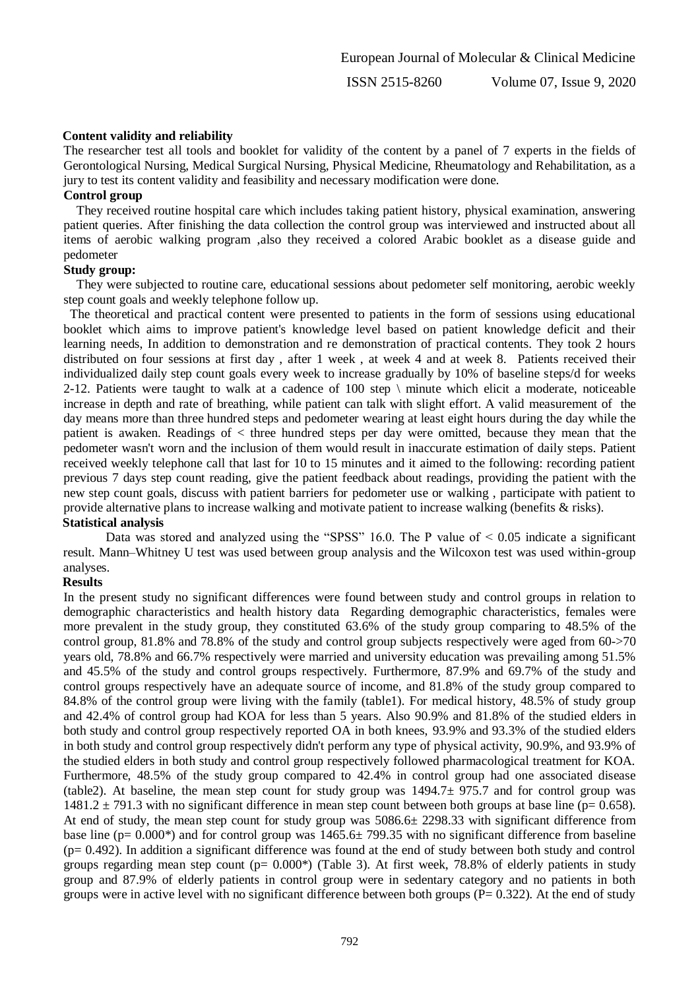ISSN 2515-8260 Volume 07, Issue 9, 2020

#### **Content validity and reliability**

The researcher test all tools and booklet for validity of the content by a panel of 7 experts in the fields of Gerontological Nursing, Medical Surgical Nursing, Physical Medicine, Rheumatology and Rehabilitation, as a jury to test its content validity and feasibility and necessary modification were done.

#### **Control group**

 They received routine hospital care which includes taking patient history, physical examination, answering patient queries. After finishing the data collection the control group was interviewed and instructed about all items of aerobic walking program ,also they received a colored Arabic booklet as a disease guide and pedometer

#### **Study group:**

 They were subjected to routine care, educational sessions about pedometer self monitoring, aerobic weekly step count goals and weekly telephone follow up.

 The theoretical and practical content were presented to patients in the form of sessions using educational booklet which aims to improve patient's knowledge level based on patient knowledge deficit and their learning needs, In addition to demonstration and re demonstration of practical contents. They took 2 hours distributed on four sessions at first day , after 1 week , at week 4 and at week 8. Patients received their individualized daily step count goals every week to increase gradually by 10% of baseline steps/d for weeks 2-12. Patients were taught to walk at a cadence of  $100$  step  $\langle$  minute which elicit a moderate, noticeable increase in depth and rate of breathing, while patient can talk with slight effort. A valid measurement of the day means more than three hundred steps and pedometer wearing at least eight hours during the day while the patient is awaken. Readings of < three hundred steps per day were omitted, because they mean that the pedometer wasn't worn and the inclusion of them would result in inaccurate estimation of daily steps. Patient received weekly telephone call that last for 10 to 15 minutes and it aimed to the following: recording patient previous 7 days step count reading, give the patient feedback about readings, providing the patient with the new step count goals, discuss with patient barriers for pedometer use or walking , participate with patient to provide alternative plans to increase walking and motivate patient to increase walking (benefits & risks).

# **Statistical analysis**

Data was stored and analyzed using the "SPSS" 16.0. The P value of  $\leq 0.05$  indicate a significant result. Mann–Whitney U test was used between group analysis and the Wilcoxon test was used within-group analyses.

# **Results**

In the present study no significant differences were found between study and control groups in relation to demographic characteristics and health history data Regarding demographic characteristics, females were more prevalent in the study group, they constituted 63.6% of the study group comparing to 48.5% of the control group, 81.8% and 78.8% of the study and control group subjects respectively were aged from 60->70 years old, 78.8% and 66.7% respectively were married and university education was prevailing among 51.5% and 45.5% of the study and control groups respectively. Furthermore, 87.9% and 69.7% of the study and control groups respectively have an adequate source of income, and 81.8% of the study group compared to 84.8% of the control group were living with the family (table1). For medical history, 48.5% of study group and 42.4% of control group had KOA for less than 5 years. Also 90.9% and 81.8% of the studied elders in both study and control group respectively reported OA in both knees, 93.9% and 93.3% of the studied elders in both study and control group respectively didn't perform any type of physical activity, 90.9%, and 93.9% of the studied elders in both study and control group respectively followed pharmacological treatment for KOA. Furthermore, 48.5% of the study group compared to 42.4% in control group had one associated disease (table2). At baseline, the mean step count for study group was 1494.7± 975.7 and for control group was  $1481.2 \pm 791.3$  with no significant difference in mean step count between both groups at base line (p= 0.658). At end of study, the mean step count for study group was 5086.6± 2298.33 with significant difference from base line (p=  $0.000^*$ ) and for control group was 1465.6 $\pm$  799.35 with no significant difference from baseline  $(p= 0.492)$ . In addition a significant difference was found at the end of study between both study and control groups regarding mean step count ( $p= 0.000^*$ ) (Table 3). At first week, 78.8% of elderly patients in study group and 87.9% of elderly patients in control group were in sedentary category and no patients in both groups were in active level with no significant difference between both groups ( $P = 0.322$ ). At the end of study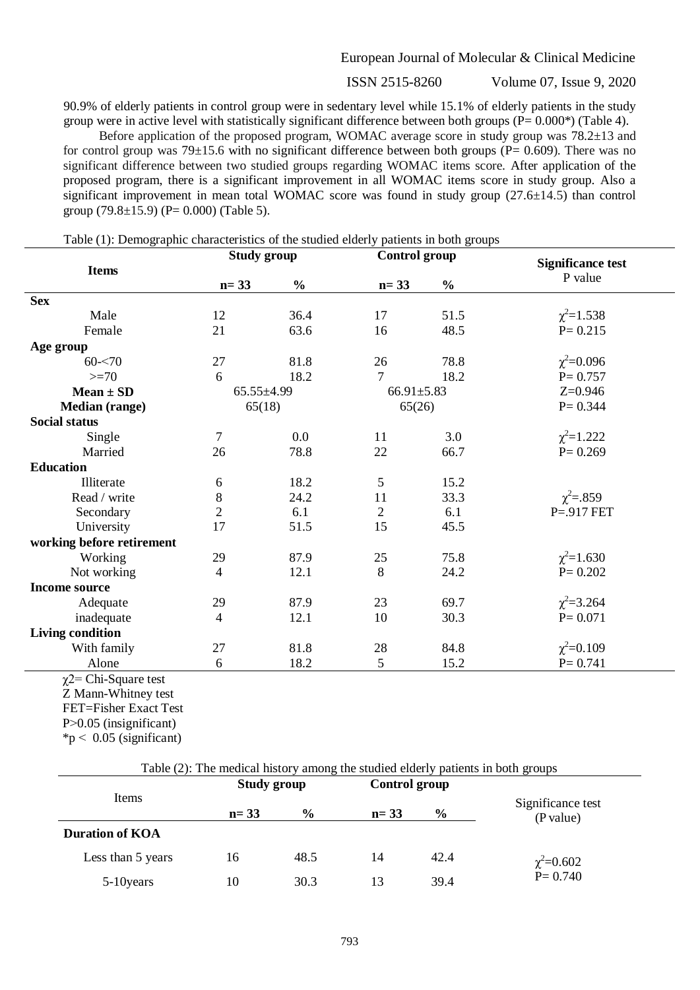ISSN 2515-8260 Volume 07, Issue 9, 2020

90.9% of elderly patients in control group were in sedentary level while 15.1% of elderly patients in the study group were in active level with statistically significant difference between both groups (P= 0.000\*) (Table 4).

 Before application of the proposed program, WOMAC average score in study group was 78.2±13 and for control group was  $79\pm15.6$  with no significant difference between both groups ( $P= 0.609$ ). There was no significant difference between two studied groups regarding WOMAC items score. After application of the proposed program, there is a significant improvement in all WOMAC items score in study group. Also a significant improvement in mean total WOMAC score was found in study group (27.6±14.5) than control group  $(79.8 \pm 15.9)$  (P= 0.000) (Table 5).

Table (1): Demographic characteristics of the studied elderly patients in both groups

|                           | <b>Study group</b> |               | <b>Control</b> group |               | <b>Significance test</b> |  |
|---------------------------|--------------------|---------------|----------------------|---------------|--------------------------|--|
| <b>Items</b>              | $n = 33$           | $\frac{0}{0}$ | $n = 33$             | $\frac{0}{0}$ | P value                  |  |
| <b>Sex</b>                |                    |               |                      |               |                          |  |
| Male                      | 12                 | 36.4          | 17                   | 51.5          | $\chi^2 = 1.538$         |  |
| Female                    | 21                 | 63.6          | 16                   | 48.5          | $P = 0.215$              |  |
| Age group                 |                    |               |                      |               |                          |  |
| $60 - 70$                 | 27                 | 81.8          | 26                   | 78.8          | $\chi^2 = 0.096$         |  |
| $>=70$                    | 6                  | 18.2          | 7                    | 18.2          | $P = 0.757$              |  |
| $Mean \pm SD$             | $65.55 \pm 4.99$   |               | $66.91 \pm 5.83$     |               | $Z=0.946$                |  |
| <b>Median (range)</b>     | 65(18)             |               | 65(26)               |               | $P = 0.344$              |  |
| <b>Social status</b>      |                    |               |                      |               |                          |  |
| Single                    | 7                  | 0.0           | 11                   | 3.0           | $\chi^2 = 1.222$         |  |
| Married                   | 26                 | 78.8          | 22                   | 66.7          | $P = 0.269$              |  |
| <b>Education</b>          |                    |               |                      |               |                          |  |
| Illiterate                | 6                  | 18.2          | 5                    | 15.2          |                          |  |
| Read / write              | 8                  | 24.2          | 11                   | 33.3          | $\chi^2 = .859$          |  |
| Secondary                 | $\overline{2}$     | 6.1           | $\overline{2}$       | 6.1           | $P = 917$ FET            |  |
| University                | 17                 | 51.5          | 15                   | 45.5          |                          |  |
| working before retirement |                    |               |                      |               |                          |  |
| Working                   | 29                 | 87.9          | 25                   | 75.8          | $\chi^2 = 1.630$         |  |
| Not working               | $\overline{4}$     | 12.1          | 8                    | 24.2          | $P = 0.202$              |  |
| <b>Income source</b>      |                    |               |                      |               |                          |  |
| Adequate                  | 29                 | 87.9          | 23                   | 69.7          | $\chi^2 = 3.264$         |  |
| inadequate                | 4                  | 12.1          | 10                   | 30.3          | $P = 0.071$              |  |
| <b>Living condition</b>   |                    |               |                      |               |                          |  |
| With family               | 27                 | 81.8          | 28                   | 84.8          | $\chi^2 = 0.109$         |  |
| Alone                     | 6                  | 18.2          | 5                    | 15.2          | $P = 0.741$              |  |

Z Mann-Whitney test FET=Fisher Exact Test

P<0.05 (insignificant)

 $*p < 0.05$  (significant)

| Table (2): The medical history among the studied elderly patients in both groups |                    |               |               |               |                                |  |  |  |
|----------------------------------------------------------------------------------|--------------------|---------------|---------------|---------------|--------------------------------|--|--|--|
|                                                                                  | <b>Study group</b> |               | Control group |               |                                |  |  |  |
| <b>Items</b>                                                                     | $n = 33$           | $\frac{6}{9}$ | $n = 33$      | $\frac{6}{6}$ | Significance test<br>(P value) |  |  |  |
| <b>Duration of KOA</b>                                                           |                    |               |               |               |                                |  |  |  |
| Less than 5 years                                                                | 16                 | 48.5          | 14            | 42.4          | $\chi^2 = 0.602$<br>P= 0.740   |  |  |  |
| 5-10 years                                                                       | 10                 | 30.3          | 13            | 39.4          |                                |  |  |  |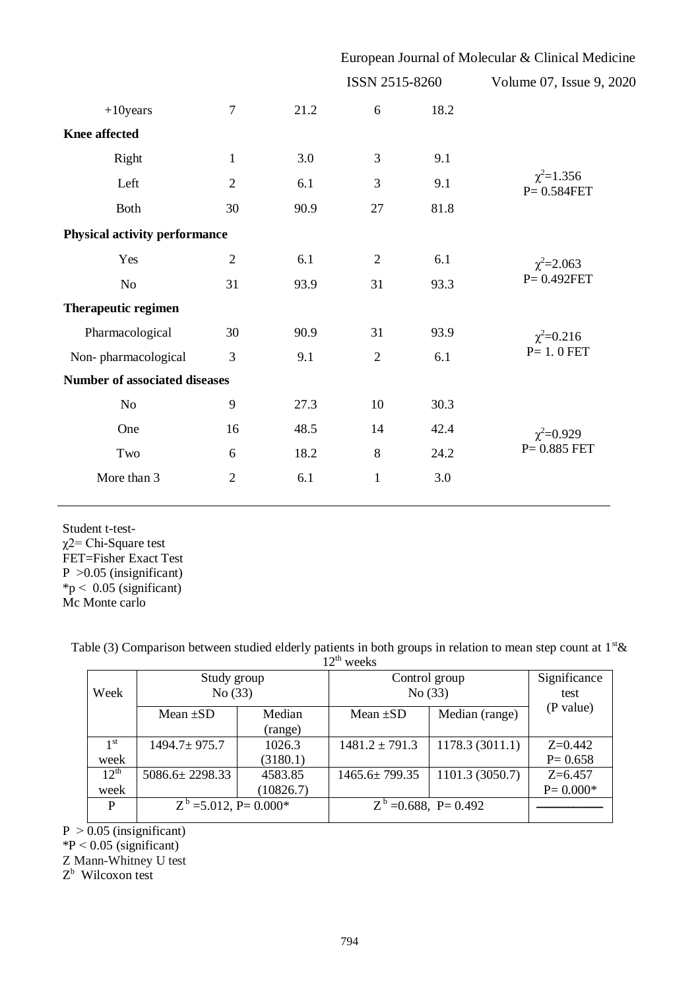|                                      |                |      | European Journal of Molecular & Clinical Medicine |      |                                    |  |  |  |
|--------------------------------------|----------------|------|---------------------------------------------------|------|------------------------------------|--|--|--|
|                                      |                |      | ISSN 2515-8260                                    |      | Volume 07, Issue 9, 2020           |  |  |  |
| $+10$ years                          | $\overline{7}$ | 21.2 | 6                                                 | 18.2 |                                    |  |  |  |
| <b>Knee affected</b>                 |                |      |                                                   |      |                                    |  |  |  |
| Right                                | $\mathbf{1}$   | 3.0  | 3                                                 | 9.1  |                                    |  |  |  |
| Left                                 | $\overline{2}$ | 6.1  | 3                                                 | 9.1  | $\chi^2 = 1.356$<br>$P = 0.584FET$ |  |  |  |
| <b>Both</b>                          | 30             | 90.9 | 27                                                | 81.8 |                                    |  |  |  |
| <b>Physical activity performance</b> |                |      |                                                   |      |                                    |  |  |  |
| Yes                                  | $\mathfrak{2}$ | 6.1  | $\mathfrak{2}$                                    | 6.1  | $\chi^2 = 2.063$                   |  |  |  |
| No                                   | 31             | 93.9 | 31                                                | 93.3 | $P = 0.492FET$                     |  |  |  |
| <b>Therapeutic regimen</b>           |                |      |                                                   |      |                                    |  |  |  |
| Pharmacological                      | 30             | 90.9 | 31                                                | 93.9 | $\chi^2 = 0.216$                   |  |  |  |
| Non-pharmacological                  | 3              | 9.1  | $\overline{2}$                                    | 6.1  | $P=1.0$ FET                        |  |  |  |
| <b>Number of associated diseases</b> |                |      |                                                   |      |                                    |  |  |  |
| No                                   | 9              | 27.3 | 10                                                | 30.3 |                                    |  |  |  |
| One                                  | 16             | 48.5 | 14                                                | 42.4 | $\chi^2 = 0.929$                   |  |  |  |
| Two                                  | 6              | 18.2 | $8\,$                                             | 24.2 | $P = 0.885$ FET                    |  |  |  |
| More than 3                          | $\overline{2}$ | 6.1  | $\mathbf{1}$                                      | 3.0  |                                    |  |  |  |
|                                      |                |      |                                                   |      |                                    |  |  |  |

Student t-testχ2= Chi-Square test FET=Fisher Exact Test  $P > 0.05$  (insignificant)  $*{\rm p}$  < 0.05 (significant) Mc Monte carlo

Table (3) Comparison between studied elderly patients in both groups in relation to mean step count at  $1<sup>st</sup>$ &

|                 |                           |           | $12^{th}$ weeks         |                          |              |
|-----------------|---------------------------|-----------|-------------------------|--------------------------|--------------|
| Week            | Study group<br>No(33)     |           | Control group<br>No(33) | Significance             |              |
|                 |                           |           |                         | test                     |              |
|                 | Mean $\pm SD$             | Median    | Mean $\pm SD$           | Median (range)           | (P value)    |
|                 |                           | (range)   |                         |                          |              |
| 1 <sup>st</sup> | $1494.7 \pm 975.7$        | 1026.3    | $1481.2 \pm 791.3$      | 1178.3(3011.1)           | $Z=0.442$    |
| week            |                           | (3180.1)  |                         |                          | $P = 0.658$  |
| $12^{th}$       | $5086.6 \pm 2298.33$      | 4583.85   | $1465.6 \pm 799.35$     | 1101.3 (3050.7)          | $Z=6.457$    |
| week            |                           | (10826.7) |                         |                          | $P = 0.000*$ |
| P               | $Z^b = 5.012$ , P= 0.000* |           |                         | $Z^b = 0.688$ , P= 0.492 |              |
|                 |                           |           |                         |                          |              |

 $P > 0.05$  (insignificant)

 $*P < 0.05$  (significant)

Z Mann-Whitney U test

Z<sup>b</sup> Wilcoxon test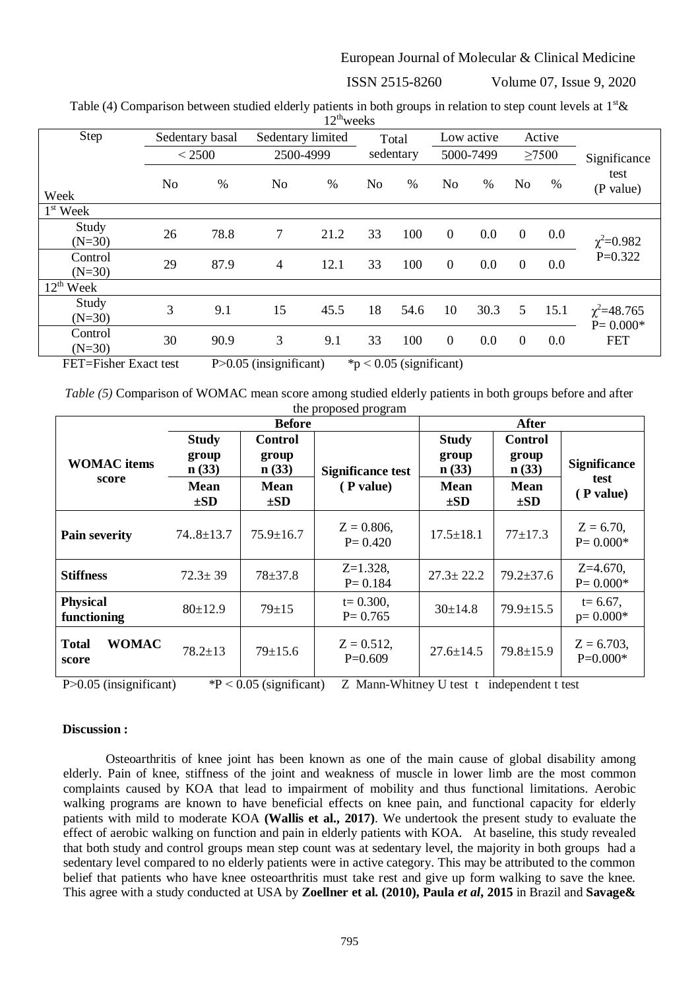ISSN 2515-8260 Volume 07, Issue 9, 2020

| Table (4) Comparison between studied elderly patients in both groups in relation to step count levels at $1st\mathcal{X}$ |  |
|---------------------------------------------------------------------------------------------------------------------------|--|
| $12^{\text{th}}$ weeks                                                                                                    |  |

|                          |                |                 |                   |      | $\cdots$       |           |                |            |                  |        |                                   |
|--------------------------|----------------|-----------------|-------------------|------|----------------|-----------|----------------|------------|------------------|--------|-----------------------------------|
| Step                     |                | Sedentary basal | Sedentary limited |      |                | Total     |                | Low active |                  | Active |                                   |
|                          |                | < 2500          | 2500-4999         |      |                | sedentary |                | 5000-7499  |                  | >7500  | Significance                      |
| Week                     | N <sub>o</sub> | %               | No                | $\%$ | N <sub>o</sub> | $\%$      | No             | $\%$       | No               | %      | test<br>(P value)                 |
| $1st$ Week               |                |                 |                   |      |                |           |                |            |                  |        |                                   |
| Study<br>$(N=30)$        | 26             | 78.8            | 7                 | 21.2 | 33             | 100       | $\overline{0}$ | 0.0        | $\boldsymbol{0}$ | 0.0    | $\chi^2 = 0.982$                  |
| Control<br>$(N=30)$      | 29             | 87.9            | $\overline{4}$    | 12.1 | 33             | 100       | $\overline{0}$ | 0.0        | $\overline{0}$   | 0.0    | $P=0.322$                         |
| $12^{\text{th}}$<br>Week |                |                 |                   |      |                |           |                |            |                  |        |                                   |
| Study<br>$(N=30)$        | 3              | 9.1             | 15                | 45.5 | 18             | 54.6      | 10             | 30.3       | 5                | 15.1   | $\chi^2 = 48.765$<br>$P = 0.000*$ |
| Control<br>$(N=30)$      | 30             | 90.9            | 3                 | 9.1  | 33             | 100       | $\overline{0}$ | 0.0        | $\overline{0}$   | 0.0    | <b>FET</b>                        |

FET=Fisher Exact test  $P > 0.05$  (insignificant)  $p > 0.05$  (significant)

*Table (5)* Comparison of WOMAC mean score among studied elderly patients in both groups before and after the proposed program

|                                       |                                                           | <b>After</b>                                         |                                       |                                                    |                                                      |                                          |
|---------------------------------------|-----------------------------------------------------------|------------------------------------------------------|---------------------------------------|----------------------------------------------------|------------------------------------------------------|------------------------------------------|
| <b>WOMAC</b> items<br>score           | <b>Study</b><br>group<br>n(33)<br><b>Mean</b><br>$\pm SD$ | <b>Control</b><br>group<br>n(33)<br>Mean<br>$\pm SD$ | <b>Significance test</b><br>(P value) | <b>Study</b><br>group<br>n(33)<br>Mean<br>$\pm SD$ | <b>Control</b><br>group<br>n(33)<br>Mean<br>$\pm SD$ | <b>Significance</b><br>test<br>(P value) |
| <b>Pain severity</b>                  | $74.8 \pm 13.7$                                           | $75.9 \pm 16.7$                                      | $Z = 0.806$ ,<br>$P = 0.420$          | $17.5 \pm 18.1$                                    | $77 + 17.3$                                          | $Z = 6.70$ ,<br>$P = 0.000*$             |
| <b>Stiffness</b>                      | $72.3 \pm 39$                                             | $78 + 37.8$                                          | $Z=1.328$ ,<br>$P = 0.184$            | $27.3 \pm 22.2$                                    | $79.2 \pm 37.6$                                      | $Z=4.670$ ,<br>$P = 0.000*$              |
| <b>Physical</b><br>functioning        | 80±12.9                                                   | $79 \pm 15$                                          | $t = 0.300$ ,<br>$P = 0.765$          | $30 \pm 14.8$                                      | $79.9 \pm 15.5$                                      | $t = 6.67$ ,<br>$p=0.000*$               |
| <b>WOMAC</b><br><b>Total</b><br>score | $78.2 \pm 13$                                             | $79 \pm 15.6$                                        | $Z = 0.512$ ,<br>$P=0.609$            | $27.6 \pm 14.5$                                    | $79.8 \pm 15.9$                                      | $Z = 6.703$ ,<br>$P=0.000*$              |

P $>0.05$  (insignificant) \*P < 0.05 (significant) Z Mann-Whitney U test t independent t test

#### **Discussion :**

Osteoarthritis of knee joint has been known as one of the main cause of global disability among elderly. Pain of knee, stiffness of the joint and weakness of muscle in lower limb are the most common complaints caused by KOA that lead to impairment of mobility and thus functional limitations. Aerobic walking programs are known to have beneficial effects on knee pain, and functional capacity for elderly patients with mild to moderate KOA **(Wallis et al., 2017)**. We undertook the present study to evaluate the effect of aerobic walking on function and pain in elderly patients with KOA. At baseline, this study revealed that both study and control groups mean step count was at sedentary level, the majority in both groups had a sedentary level compared to no elderly patients were in active category. This may be attributed to the common belief that patients who have knee osteoarthritis must take rest and give up form walking to save the knee. This agree with a study conducted at USA by **Zoellner et al. (2010), Paula** *et al***, 2015** in Brazil and **Savage&**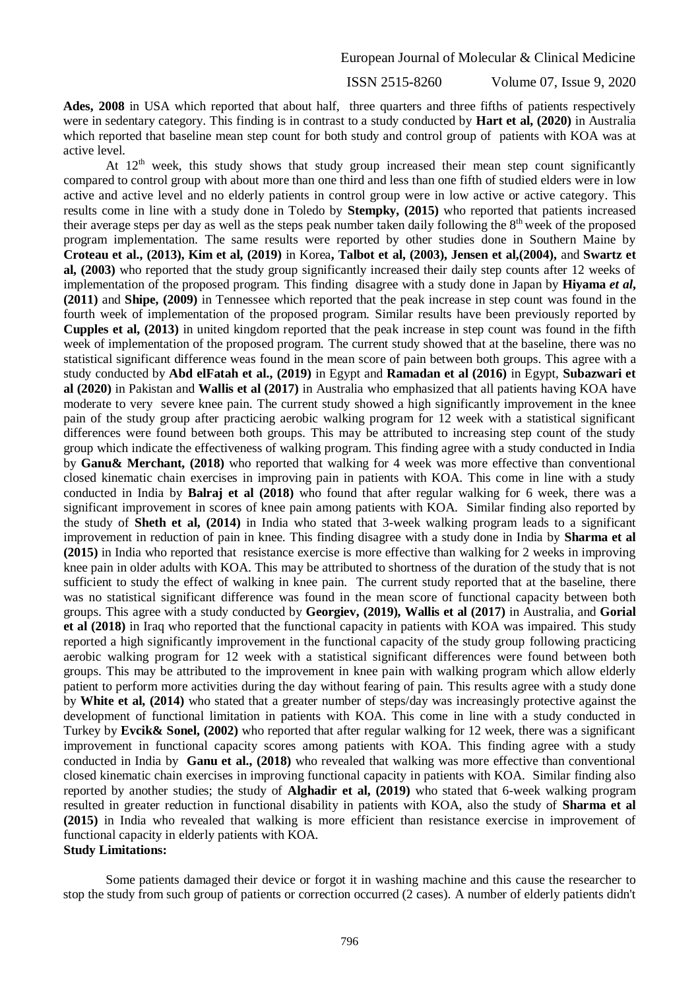ISSN 2515-8260 Volume 07, Issue 9, 2020

**Ades, 2008** in USA which reported that about half, three quarters and three fifths of patients respectively were in sedentary category. This finding is in contrast to a study conducted by **Hart et al, (2020)** in Australia which reported that baseline mean step count for both study and control group of patients with KOA was at active level.

At  $12<sup>th</sup>$  week, this study shows that study group increased their mean step count significantly compared to control group with about more than one third and less than one fifth of studied elders were in low active and active level and no elderly patients in control group were in low active or active category. This results come in line with a study done in Toledo by **Stempky, (2015)** who reported that patients increased their average steps per day as well as the steps peak number taken daily following the 8<sup>th</sup> week of the proposed program implementation. The same results were reported by other studies done in Southern Maine by **Croteau et al., (2013), Kim et al, (2019)** in Korea**, Talbot et al, (2003), Jensen et al,(2004),** and **Swartz et al, (2003)** who reported that the study group significantly increased their daily step counts after 12 weeks of implementation of the proposed program. This finding disagree with a study done in Japan by **Hiyama** *et al***, (2011)** and **Shipe, (2009)** in Tennessee which reported that the peak increase in step count was found in the fourth week of implementation of the proposed program. Similar results have been previously reported by **Cupples et al, (2013)** in united kingdom reported that the peak increase in step count was found in the fifth week of implementation of the proposed program. The current study showed that at the baseline, there was no statistical significant difference weas found in the mean score of pain between both groups. This agree with a study conducted by **Abd elFatah et al., (2019)** in Egypt and **Ramadan et al (2016)** in Egypt, **Subazwari et al (2020)** in Pakistan and **Wallis et al (2017)** in Australia who emphasized that all patients having KOA have moderate to very severe knee pain. The current study showed a high significantly improvement in the knee pain of the study group after practicing aerobic walking program for 12 week with a statistical significant differences were found between both groups. This may be attributed to increasing step count of the study group which indicate the effectiveness of walking program. This finding agree with a study conducted in India by **Ganu& Merchant, (2018)** who reported that walking for 4 week was more effective than conventional closed kinematic chain exercises in improving pain in patients with KOA. This come in line with a study conducted in India by **Balraj et al (2018)** who found that after regular walking for 6 week, there was a significant improvement in scores of knee pain among patients with KOA. Similar finding also reported by the study of **Sheth et al, (2014)** in India who stated that 3-week walking program leads to a significant improvement in reduction of pain in knee. This finding disagree with a study done in India by **Sharma et al (2015)** in India who reported that resistance exercise is more effective than walking for 2 weeks in improving knee pain in older adults with KOA. This may be attributed to shortness of the duration of the study that is not sufficient to study the effect of walking in knee pain. The current study reported that at the baseline, there was no statistical significant difference was found in the mean score of functional capacity between both groups. This agree with a study conducted by **Georgiev, (2019), Wallis et al (2017)** in Australia, and **Gorial et al (2018)** in Iraq who reported that the functional capacity in patients with KOA was impaired. This study reported a high significantly improvement in the functional capacity of the study group following practicing aerobic walking program for 12 week with a statistical significant differences were found between both groups. This may be attributed to the improvement in knee pain with walking program which allow elderly patient to perform more activities during the day without fearing of pain. This results agree with a study done by **White et al, (2014)** who stated that a greater number of steps/day was increasingly protective against the development of functional limitation in patients with KOA. This come in line with a study conducted in Turkey by **Evcik& Sonel, (2002)** who reported that after regular walking for 12 week, there was a significant improvement in functional capacity scores among patients with KOA. This finding agree with a study conducted in India by **Ganu et al., (2018)** who revealed that walking was more effective than conventional closed kinematic chain exercises in improving functional capacity in patients with KOA. Similar finding also reported by another studies; the study of **Alghadir et al, (2019)** who stated that 6-week walking program resulted in greater reduction in functional disability in patients with KOA, also the study of **Sharma et al (2015)** in India who revealed that walking is more efficient than resistance exercise in improvement of functional capacity in elderly patients with KOA. **Study Limitations:**

Some patients damaged their device or forgot it in washing machine and this cause the researcher to stop the study from such group of patients or correction occurred (2 cases). A number of elderly patients didn't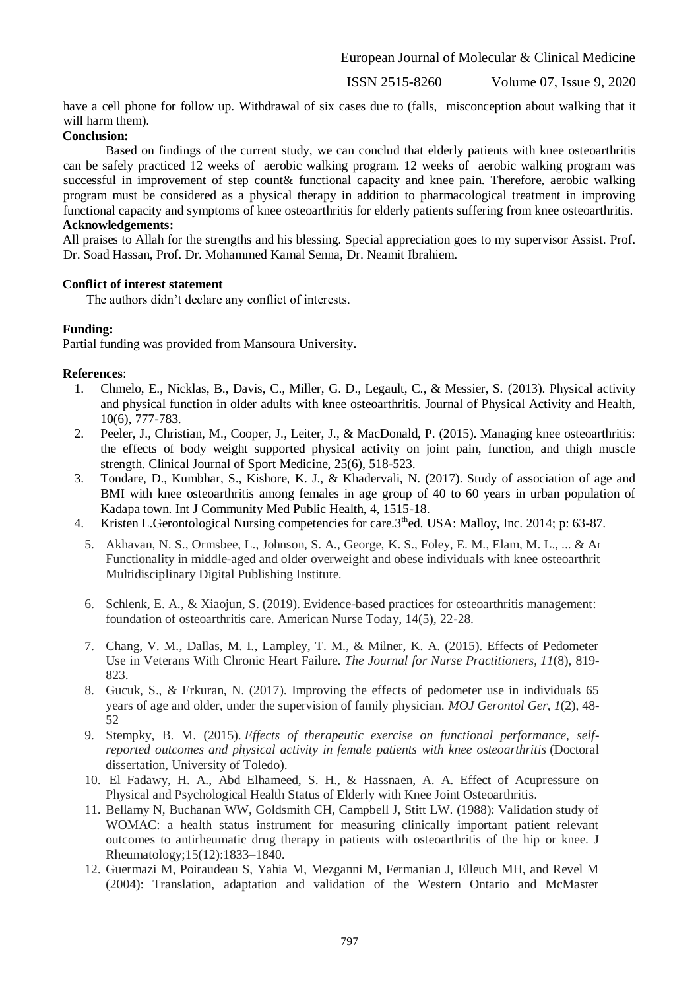ISSN 2515-8260 Volume 07, Issue 9, 2020

have a cell phone for follow up. Withdrawal of six cases due to (falls, misconception about walking that it will harm them).

# **Conclusion:**

Based on findings of the current study, we can conclud that elderly patients with knee osteoarthritis can be safely practiced 12 weeks of aerobic walking program. 12 weeks of aerobic walking program was successful in improvement of step count& functional capacity and knee pain. Therefore, aerobic walking program must be considered as a physical therapy in addition to pharmacological treatment in improving functional capacity and symptoms of knee osteoarthritis for elderly patients suffering from knee osteoarthritis. **Acknowledgements:**

All praises to Allah for the strengths and his blessing. Special appreciation goes to my supervisor Assist. Prof. Dr. Soad Hassan, Prof. Dr. Mohammed Kamal Senna, Dr. Neamit Ibrahiem.

# **Conflict of interest statement**

The authors didn't declare any conflict of interests.

# **Funding:**

Partial funding was provided from Mansoura University**.**

#### **References**:

- 1. Chmelo, E., Nicklas, B., Davis, C., Miller, G. D., Legault, C., & Messier, S. (2013). Physical activity and physical function in older adults with knee osteoarthritis. Journal of Physical Activity and Health, 10(6), 777-783.
- 2. Peeler, J., Christian, M., Cooper, J., Leiter, J., & MacDonald, P. (2015). Managing knee osteoarthritis: the effects of body weight supported physical activity on joint pain, function, and thigh muscle strength. Clinical Journal of Sport Medicine, 25(6), 518-523.
- 3. Tondare, D., Kumbhar, S., Kishore, K. J., & Khadervali, N. (2017). Study of association of age and BMI with knee osteoarthritis among females in age group of 40 to 60 years in urban population of Kadapa town. Int J Community Med Public Health, 4, 1515-18.
- 4. Kristen L.Gerontological Nursing competencies for care.3<sup>th</sup>ed. USA: Malloy, Inc. 2014; p: 63-87.
	- 5. Akhavan, N. S., Ormsbee, L., Johnson, S. A., George, K. S., Foley, E. M., Elam, M. L., ... & Ar Functionality in middle-aged and older overweight and obese individuals with knee osteoarthrit Multidisciplinary Digital Publishing Institute.
	- 6. Schlenk, E. A.,  $\&$  Xiaojun, S. (2019). Evidence-based practices for osteoarthritis management: foundation of osteoarthritis care. American Nurse Today, 14(5), 22-28.
	- 7. Chang, V. M., Dallas, M. I., Lampley, T. M., & Milner, K. A. (2015). Effects of Pedometer Use in Veterans With Chronic Heart Failure. *The Journal for Nurse Practitioners*, *11*(8), 819- 823.
	- 8. Gucuk, S., & Erkuran, N. (2017). Improving the effects of pedometer use in individuals 65 years of age and older, under the supervision of family physician. *MOJ Gerontol Ger*, *1*(2), 48- 52
	- 9. Stempky, B. M. (2015). *Effects of therapeutic exercise on functional performance, selfreported outcomes and physical activity in female patients with knee osteoarthritis* (Doctoral dissertation, University of Toledo).
	- 10. El Fadawy, H. A., Abd Elhameed, S. H., & Hassnaen, A. A. Effect of Acupressure on Physical and Psychological Health Status of Elderly with Knee Joint Osteoarthritis.
	- 11. Bellamy N, Buchanan WW, Goldsmith CH, Campbell J, Stitt LW. (1988): Validation study of WOMAC: a health status instrument for measuring clinically important patient relevant outcomes to antirheumatic drug therapy in patients with osteoarthritis of the hip or knee. J Rheumatology;15(12):1833–1840.
	- 12. Guermazi M, Poiraudeau S, Yahia M, Mezganni M, Fermanian J, Elleuch MH, and Revel M (2004): Translation, adaptation and validation of the Western Ontario and McMaster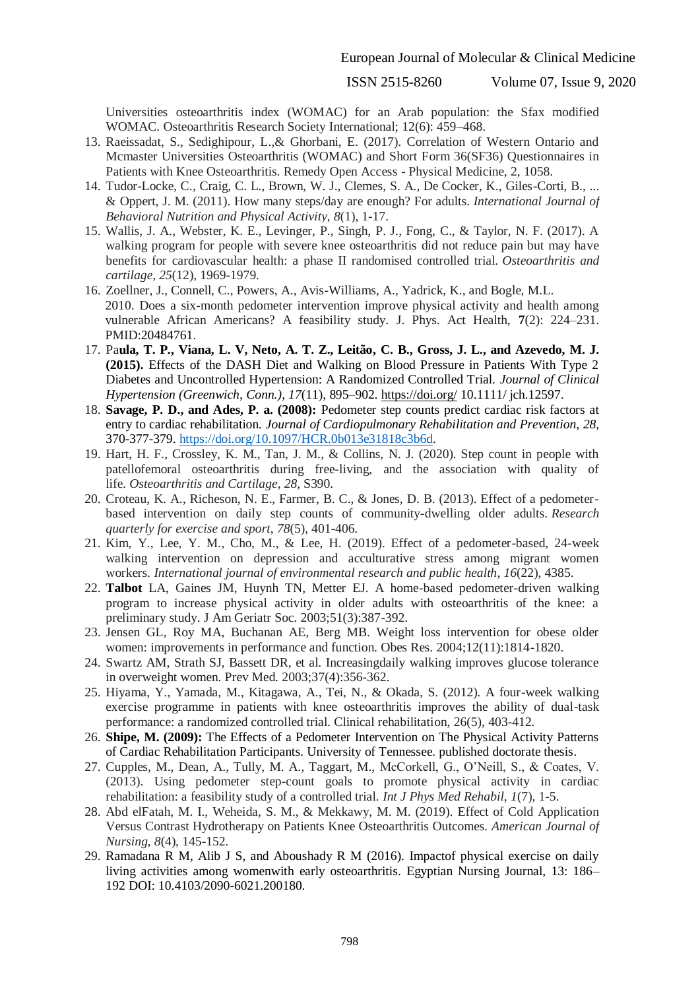ISSN 2515-8260 Volume 07, Issue 9, 2020

Universities osteoarthritis index (WOMAC) for an Arab population: the Sfax modified WOMAC. Osteoarthritis Research Society International; 12(6): 459–468.

- 13. Raeissadat, S., Sedighipour, L.,& Ghorbani, E. (2017). Correlation of Western Ontario and Mcmaster Universities Osteoarthritis (WOMAC) and Short Form 36(SF36) Questionnaires in Patients with Knee Osteoarthritis. Remedy Open Access - Physical Medicine, 2, 1058.
- 14. Tudor-Locke, C., Craig, C. L., Brown, W. J., Clemes, S. A., De Cocker, K., Giles-Corti, B., ... & Oppert, J. M. (2011). How many steps/day are enough? For adults. *International Journal of Behavioral Nutrition and Physical Activity*, *8*(1), 1-17.
- 15. Wallis, J. A., Webster, K. E., Levinger, P., Singh, P. J., Fong, C., & Taylor, N. F. (2017). A walking program for people with severe knee osteoarthritis did not reduce pain but may have benefits for cardiovascular health: a phase II randomised controlled trial. *Osteoarthritis and cartilage*, *25*(12), 1969-1979.
- 16. Zoellner, J., Connell, C., Powers, A., Avis-Williams, A., Yadrick, K., and Bogle, M.L. 2010. Does a six-month pedometer intervention improve physical activity and health among vulnerable African Americans? A feasibility study. J. Phys. Act Health, **7**(2): 224–231. PMID:20484761.
- 17. Pa**ula, T. P., Viana, L. V, Neto, A. T. Z., Leitão, C. B., Gross, J. L., and Azevedo, M. J. (2015).** Effects of the DASH Diet and Walking on Blood Pressure in Patients With Type 2 Diabetes and Uncontrolled Hypertension: A Randomized Controlled Trial. *Journal of Clinical Hypertension (Greenwich, Conn.)*, *17*(11), 895–902.<https://doi.org/> 10.1111/ jch.12597.
- 18. **Savage, P. D., and Ades, P. a. (2008):** Pedometer step counts predict cardiac risk factors at entry to cardiac rehabilitation. *Journal of Cardiopulmonary Rehabilitation and Prevention*, *28*, 370-377-379. [https://doi.org/10.1097/HCR.0b013e31818c3b6d.](https://doi.org/10.1097/HCR.0b013e31818c3b6d)
- 19. Hart, H. F., Crossley, K. M., Tan, J. M., & Collins, N. J. (2020). Step count in people with patellofemoral osteoarthritis during free-living, and the association with quality of life. *Osteoarthritis and Cartilage*, *28*, S390.
- 20. Croteau, K. A., Richeson, N. E., Farmer, B. C., & Jones, D. B. (2013). Effect of a pedometerbased intervention on daily step counts of community-dwelling older adults. *Research quarterly for exercise and sport*, *78*(5), 401-406.
- 21. Kim, Y., Lee, Y. M., Cho, M., & Lee, H. (2019). Effect of a pedometer-based, 24-week walking intervention on depression and acculturative stress among migrant women workers. *International journal of environmental research and public health*, *16*(22), 4385.
- 22. **Talbot** LA, Gaines JM, Huynh TN, Metter EJ. A home-based pedometer-driven walking program to increase physical activity in older adults with osteoarthritis of the knee: a preliminary study. J Am Geriatr Soc. 2003;51(3):387-392.
- 23. Jensen GL, Roy MA, Buchanan AE, Berg MB. Weight loss intervention for obese older women: improvements in performance and function. Obes Res. 2004;12(11):1814-1820.
- 24. Swartz AM, Strath SJ, Bassett DR, et al. Increasingdaily walking improves glucose tolerance in overweight women. Prev Med. 2003;37(4):356-362.
- 25. Hiyama, Y., Yamada, M., Kitagawa, A., Tei, N., & Okada, S. (2012). A four-week walking exercise programme in patients with knee osteoarthritis improves the ability of dual-task performance: a randomized controlled trial. Clinical rehabilitation, 26(5), 403-412.
- 26. **Shipe, M. (2009):** The Effects of a Pedometer Intervention on The Physical Activity Patterns of Cardiac Rehabilitation Participants. University of Tennessee. published doctorate thesis.
- 27. Cupples, M., Dean, A., Tully, M. A., Taggart, M., McCorkell, G., O'Neill, S., & Coates, V. (2013). Using pedometer step-count goals to promote physical activity in cardiac rehabilitation: a feasibility study of a controlled trial. *Int J Phys Med Rehabil*, *1*(7), 1-5.
- 28. Abd elFatah, M. I., Weheida, S. M., & Mekkawy, M. M. (2019). Effect of Cold Application Versus Contrast Hydrotherapy on Patients Knee Osteoarthritis Outcomes. *American Journal of Nursing*, *8*(4), 145-152.
- 29. Ramadana R M, Alib J S, and Aboushady R M (2016). Impactof physical exercise on daily living activities among womenwith early osteoarthritis. Egyptian Nursing Journal, 13: 186– 192 DOI: 10.4103/2090-6021.200180.